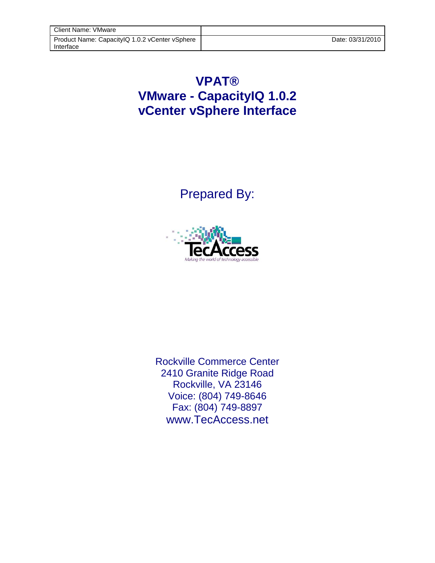## **VPAT® VMware - CapacityIQ 1.0.2 vCenter vSphere Interface**

Prepared By:



Rockville Commerce Center 2410 Granite Ridge Road Rockville, VA 23146 Voice: (804) 749-8646 Fax: (804) 749-8897 www.TecAccess.net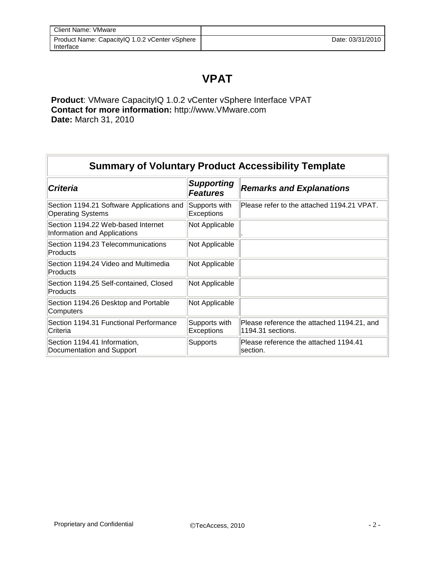## **VPAT**

**Product**: VMware CapacityIQ 1.0.2 vCenter vSphere Interface VPAT **Contact for more information:** http://www.VMware.com **Date:** March 31, 2010

| <b>Summary of Voluntary Product Accessibility Template</b>            |                                      |                                                                 |  |
|-----------------------------------------------------------------------|--------------------------------------|-----------------------------------------------------------------|--|
| <b>Criteria</b>                                                       | <b>Supporting</b><br><b>Features</b> | <b>Remarks and Explanations</b>                                 |  |
| Section 1194.21 Software Applications and<br><b>Operating Systems</b> | Supports with<br>Exceptions          | Please refer to the attached 1194.21 VPAT.                      |  |
| Section 1194.22 Web-based Internet<br>Information and Applications    | Not Applicable                       |                                                                 |  |
| Section 1194.23 Telecommunications<br>Products                        | Not Applicable                       |                                                                 |  |
| Section 1194.24 Video and Multimedia<br>Products                      | Not Applicable                       |                                                                 |  |
| Section 1194.25 Self-contained, Closed<br>Products                    | Not Applicable                       |                                                                 |  |
| Section 1194.26 Desktop and Portable<br>Computers                     | Not Applicable                       |                                                                 |  |
| Section 1194.31 Functional Performance<br>lCriteria                   | Supports with<br><b>Exceptions</b>   | Please reference the attached 1194.21, and<br>1194.31 sections. |  |
| Section 1194.41 Information,<br>Documentation and Support             | Supports                             | Please reference the attached 1194.41<br>section.               |  |

F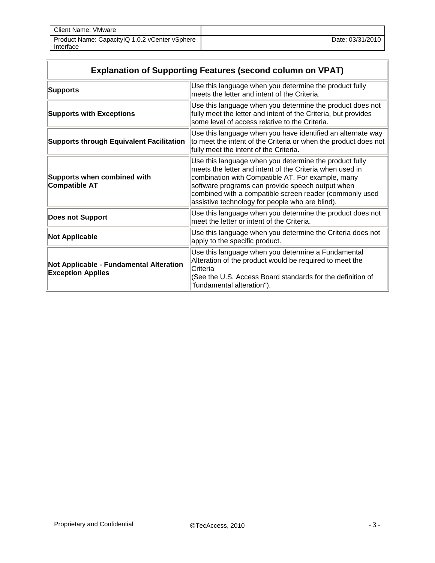| Client Name: VMware                                         |                  |
|-------------------------------------------------------------|------------------|
| Product Name: Capacity Q 1.0.2 vCenter vSphere<br>Interface | Date: 03/31/2010 |

| <b>Explanation of Supporting Features (second column on VPAT)</b>   |                                                                                                                                                                                                                                                                                                                                           |  |
|---------------------------------------------------------------------|-------------------------------------------------------------------------------------------------------------------------------------------------------------------------------------------------------------------------------------------------------------------------------------------------------------------------------------------|--|
| <b>Supports</b>                                                     | Use this language when you determine the product fully<br>meets the letter and intent of the Criteria.                                                                                                                                                                                                                                    |  |
| <b>Supports with Exceptions</b>                                     | Use this language when you determine the product does not<br>fully meet the letter and intent of the Criteria, but provides<br>some level of access relative to the Criteria.                                                                                                                                                             |  |
| <b>Supports through Equivalent Facilitation</b>                     | Use this language when you have identified an alternate way<br>to meet the intent of the Criteria or when the product does not<br>fully meet the intent of the Criteria.                                                                                                                                                                  |  |
| <b>Supports when combined with</b><br><b>Compatible AT</b>          | Use this language when you determine the product fully<br>meets the letter and intent of the Criteria when used in<br>combination with Compatible AT. For example, many<br>software programs can provide speech output when<br>combined with a compatible screen reader (commonly used<br>assistive technology for people who are blind). |  |
| <b>Does not Support</b>                                             | Use this language when you determine the product does not<br>meet the letter or intent of the Criteria.                                                                                                                                                                                                                                   |  |
| <b>Not Applicable</b>                                               | Use this language when you determine the Criteria does not<br>apply to the specific product.                                                                                                                                                                                                                                              |  |
| Not Applicable - Fundamental Alteration<br><b>Exception Applies</b> | Use this language when you determine a Fundamental<br>Alteration of the product would be required to meet the<br><b>Criteria</b><br>(See the U.S. Access Board standards for the definition of<br>"fundamental alteration").                                                                                                              |  |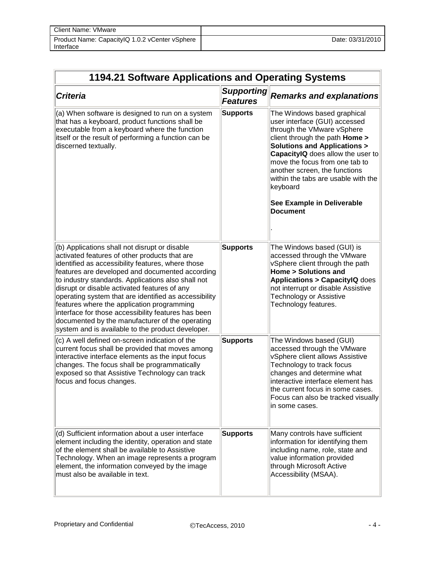| Client Name: VMware                                         |                  |
|-------------------------------------------------------------|------------------|
| Product Name: CapacityIQ 1.0.2 vCenter vSphere<br>Interface | Date: 03/31/2010 |

| 1194.21 Software Applications and Operating Systems                                                                                                                                                                                                                                                                                                                                                                                                                                                                                                                                |                                      |                                                                                                                                                                                                                                                                                                                                                                                           |
|------------------------------------------------------------------------------------------------------------------------------------------------------------------------------------------------------------------------------------------------------------------------------------------------------------------------------------------------------------------------------------------------------------------------------------------------------------------------------------------------------------------------------------------------------------------------------------|--------------------------------------|-------------------------------------------------------------------------------------------------------------------------------------------------------------------------------------------------------------------------------------------------------------------------------------------------------------------------------------------------------------------------------------------|
| <b>Criteria</b>                                                                                                                                                                                                                                                                                                                                                                                                                                                                                                                                                                    | <b>Supporting</b><br><b>Features</b> | <b>Remarks and explanations</b>                                                                                                                                                                                                                                                                                                                                                           |
| (a) When software is designed to run on a system<br>that has a keyboard, product functions shall be<br>executable from a keyboard where the function<br>itself or the result of performing a function can be<br>discerned textually.                                                                                                                                                                                                                                                                                                                                               | <b>Supports</b>                      | The Windows based graphical<br>user interface (GUI) accessed<br>through the VMware vSphere<br>client through the path <b>Home</b> ><br><b>Solutions and Applications &gt;</b><br>CapacitylQ does allow the user to<br>move the focus from one tab to<br>another screen, the functions<br>within the tabs are usable with the<br>keyboard<br>See Example in Deliverable<br><b>Document</b> |
| (b) Applications shall not disrupt or disable<br>activated features of other products that are<br>identified as accessibility features, where those<br>features are developed and documented according<br>to industry standards. Applications also shall not<br>disrupt or disable activated features of any<br>operating system that are identified as accessibility<br>features where the application programming<br>interface for those accessibility features has been<br>documented by the manufacturer of the operating<br>system and is available to the product developer. | <b>Supports</b>                      | The Windows based (GUI) is<br>accessed through the VMware<br>vSphere client through the path<br><b>Home &gt; Solutions and</b><br><b>Applications &gt; CapacityIQ does</b><br>not interrupt or disable Assistive<br>Technology or Assistive<br>Technology features.                                                                                                                       |
| (c) A well defined on-screen indication of the<br>current focus shall be provided that moves among<br>interactive interface elements as the input focus<br>changes. The focus shall be programmatically<br>exposed so that Assistive Technology can track<br>focus and focus changes.                                                                                                                                                                                                                                                                                              | <b>Supports</b>                      | The Windows based (GUI)<br>accessed through the VMware<br>vSphere client allows Assistive<br>Technology to track focus<br>changes and determine what<br>interactive interface element has<br>the current focus in some cases.<br>Focus can also be tracked visually<br>lin some cases.                                                                                                    |
| (d) Sufficient information about a user interface<br>element including the identity, operation and state<br>of the element shall be available to Assistive<br>Technology. When an image represents a program<br>element, the information conveyed by the image<br>must also be available in text.                                                                                                                                                                                                                                                                                  | <b>Supports</b>                      | Many controls have sufficient<br>information for identifying them<br>including name, role, state and<br>value information provided<br>through Microsoft Active<br>Accessibility (MSAA).                                                                                                                                                                                                   |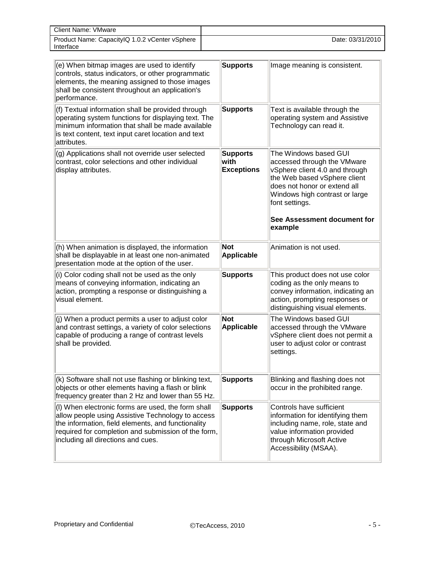| Client Name: VMware                            |                  |
|------------------------------------------------|------------------|
| Product Name: CapacityIQ 1.0.2 vCenter vSphere | Date: 03/31/2010 |
| Interface                                      |                  |

| (e) When bitmap images are used to identify<br>controls, status indicators, or other programmatic<br>elements, the meaning assigned to those images<br>shall be consistent throughout an application's<br>performance.                                     | <b>Supports</b>                              | Image meaning is consistent.                                                                                                                                                                                                                         |
|------------------------------------------------------------------------------------------------------------------------------------------------------------------------------------------------------------------------------------------------------------|----------------------------------------------|------------------------------------------------------------------------------------------------------------------------------------------------------------------------------------------------------------------------------------------------------|
| (f) Textual information shall be provided through<br>operating system functions for displaying text. The<br>minimum information that shall be made available<br>is text content, text input caret location and text<br>attributes.                         | <b>Supports</b>                              | Text is available through the<br>operating system and Assistive<br>Technology can read it.                                                                                                                                                           |
| (g) Applications shall not override user selected<br>contrast, color selections and other individual<br>display attributes.                                                                                                                                | <b>Supports</b><br>with<br><b>Exceptions</b> | The Windows based GUI<br>accessed through the VMware<br>vSphere client 4.0 and through<br>the Web based vSphere client<br>does not honor or extend all<br>Windows high contrast or large<br>font settings.<br>See Assessment document for<br>example |
| (h) When animation is displayed, the information<br>shall be displayable in at least one non-animated<br>presentation mode at the option of the user.                                                                                                      | <b>Not</b><br><b>Applicable</b>              | Animation is not used.                                                                                                                                                                                                                               |
| (i) Color coding shall not be used as the only<br>means of conveying information, indicating an<br>action, prompting a response or distinguishing a<br>visual element.                                                                                     | <b>Supports</b>                              | This product does not use color<br>coding as the only means to<br>convey information, indicating an<br>action, prompting responses or<br>distinguishing visual elements.                                                                             |
| (j) When a product permits a user to adjust color<br>and contrast settings, a variety of color selections<br>capable of producing a range of contrast levels<br>shall be provided.                                                                         | <b>Not</b><br>Applicable                     | The Windows based GUI<br>accessed through the VMware<br>vSphere client does not permit a<br>user to adjust color or contrast<br>settings.                                                                                                            |
| (k) Software shall not use flashing or blinking text,<br>objects or other elements having a flash or blink<br>frequency greater than 2 Hz and lower than 55 Hz.                                                                                            | <b>Supports</b>                              | Blinking and flashing does not<br>occur in the prohibited range.                                                                                                                                                                                     |
| (I) When electronic forms are used, the form shall<br>allow people using Assistive Technology to access<br>the information, field elements, and functionality<br>required for completion and submission of the form,<br>including all directions and cues. | <b>Supports</b>                              | Controls have sufficient<br>information for identifying them<br>including name, role, state and<br>value information provided<br>through Microsoft Active<br>Accessibility (MSAA).                                                                   |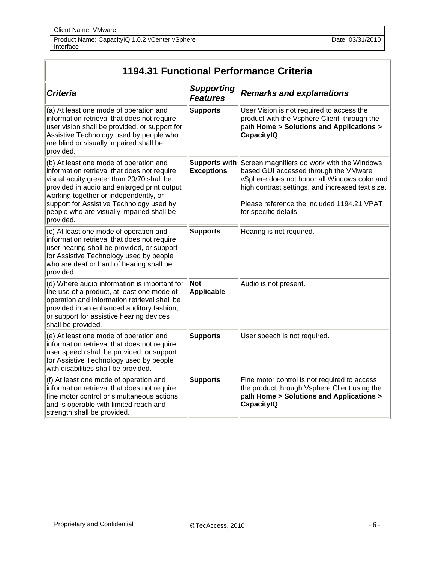| <b>Client Name: VMware</b>                                  |                  |
|-------------------------------------------------------------|------------------|
| Product Name: CapacityIQ 1.0.2 vCenter vSphere<br>Interface | Date: 03/31/2010 |

| 1194.31 Functional Performance Criteria                                                                                                                                                                                                                                                                                          |                                      |                                                                                                                                                                                                                                                                |  |
|----------------------------------------------------------------------------------------------------------------------------------------------------------------------------------------------------------------------------------------------------------------------------------------------------------------------------------|--------------------------------------|----------------------------------------------------------------------------------------------------------------------------------------------------------------------------------------------------------------------------------------------------------------|--|
| <b>Criteria</b>                                                                                                                                                                                                                                                                                                                  | <b>Supporting</b><br><b>Features</b> | <b>Remarks and explanations</b>                                                                                                                                                                                                                                |  |
| (a) At least one mode of operation and<br>information retrieval that does not require<br>user vision shall be provided, or support for<br>Assistive Technology used by people who<br>are blind or visually impaired shall be<br>provided.                                                                                        | <b>Supports</b>                      | User Vision is not required to access the<br>product with the Vsphere Client through the<br>path Home > Solutions and Applications ><br><b>CapacityIQ</b>                                                                                                      |  |
| (b) At least one mode of operation and<br>information retrieval that does not require<br>visual acuity greater than 20/70 shall be<br>provided in audio and enlarged print output<br>working together or independently, or<br>support for Assistive Technology used by<br>people who are visually impaired shall be<br>provided. | Supports with<br><b>Exceptions</b>   | Screen magnifiers do work with the Windows<br>based GUI accessed through the VMware<br>vSphere does not honor all Windows color and<br>high contrast settings, and increased text size.<br>Please reference the included 1194.21 VPAT<br>for specific details. |  |
| (c) At least one mode of operation and<br>information retrieval that does not require<br>user hearing shall be provided, or support<br>for Assistive Technology used by people<br>who are deaf or hard of hearing shall be<br>provided.                                                                                          | <b>Supports</b>                      | Hearing is not required.                                                                                                                                                                                                                                       |  |
| (d) Where audio information is important for<br>the use of a product, at least one mode of<br>operation and information retrieval shall be<br>provided in an enhanced auditory fashion,<br>or support for assistive hearing devices<br>shall be provided.                                                                        | Not<br>Applicable                    | Audio is not present.                                                                                                                                                                                                                                          |  |
| (e) At least one mode of operation and<br>information retrieval that does not require<br>user speech shall be provided, or support<br>for Assistive Technology used by people<br>with disabilities shall be provided.                                                                                                            | <b>Supports</b>                      | User speech is not required.                                                                                                                                                                                                                                   |  |
| (f) At least one mode of operation and<br>information retrieval that does not require<br>fine motor control or simultaneous actions,<br>and is operable with limited reach and<br>strength shall be provided.                                                                                                                    | Supports                             | Fine motor control is not required to access<br>the product through Vsphere Client using the<br>path Home > Solutions and Applications ><br><b>CapacityIQ</b>                                                                                                  |  |

F

ä